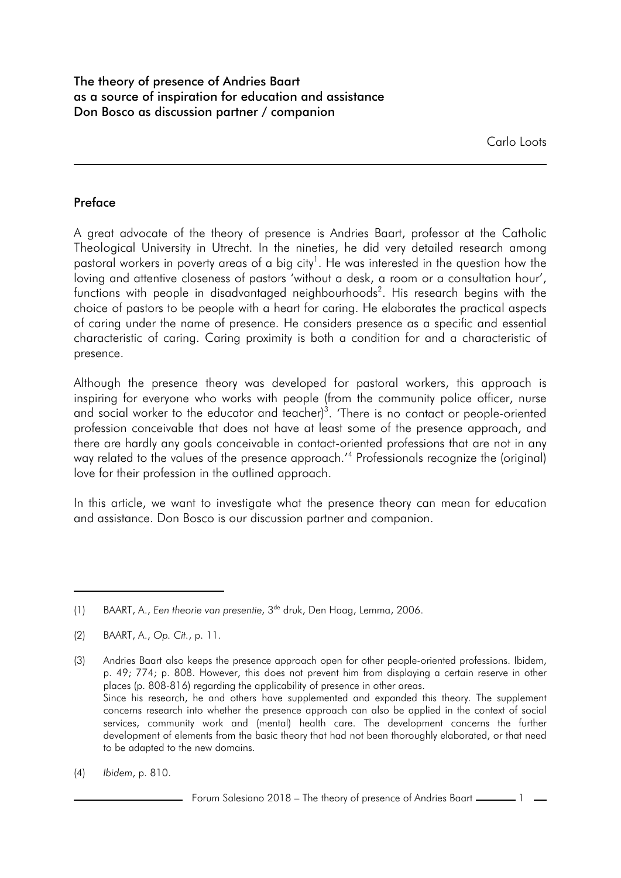### **Preface**

A great advocate of the theory of presence is Andries Baart, professor at the Catholic Theological University in Utrecht. In the nineties, he did very detailed research among pastoral workers in poverty areas of a big city $^1$ . He was interested in the question how the loving and attentive closeness of pastors 'without a desk, a room or a consultation hour', functions with people in disadvantaged neighbourhoods $^2$ . His research begins with the choice of pastors to be people with a heart for caring. He elaborates the practical aspects of caring under the name of presence. He considers presence as a specific and essential characteristic of caring. Caring proximity is both a condition for and a characteristic of presence.

Although the presence theory was developed for pastoral workers, this approach is inspiring for everyone who works with people (from the community police officer, nurse and social worker to the educator and teacher)<sup>3</sup>. 'There is no contact or people-oriented profession conceivable that does not have at least some of the presence approach, and there are hardly any goals conceivable in contact-oriented professions that are not in any way related to the values of the presence approach.'<sup>4</sup> Professionals recognize the (original) love for their profession in the outlined approach.

In this article, we want to investigate what the presence theory can mean for education and assistance. Don Bosco is our discussion partner and companion.

(4) *Ibidem*, p. 810.

- Forum Salesiano 2018 – The theory of presence of Andries Baart  $\frac{1}{\sqrt{1-\frac{1}{\sqrt{1-\frac{1}{\sqrt{1-\frac{1}{\sqrt{1-\frac{1}{\sqrt{1-\frac{1}{\sqrt{1-\frac{1}{\sqrt{1-\frac{1}{\sqrt{1-\frac{1}{\sqrt{1-\frac{1}{\sqrt{1-\frac{1}{\sqrt{1-\frac{1}{\sqrt{1-\frac{1}{\sqrt{1-\frac{1}{\sqrt{1-\frac{1}{\sqrt{1-\frac{1}{\sqrt{1-\frac{1}{\sqrt{1-\frac$ 

<sup>(1)</sup> BAART, A., *Een theorie van presentie*, 3<sup>de</sup> druk, Den Haag, Lemma, 2006.

<sup>(2)</sup> BAART, A., *Op. Cit.*, p. 11.

<sup>(3)</sup> Andries Baart also keeps the presence approach open for other people-oriented professions. Ibidem, p. 49; 774; p. 808. However, this does not prevent him from displaying a certain reserve in other places (p. 808-816) regarding the applicability of presence in other areas. Since his research, he and others have supplemented and expanded this theory. The supplement concerns research into whether the presence approach can also be applied in the context of social services, community work and (mental) health care. The development concerns the further development of elements from the basic theory that had not been thoroughly elaborated, or that need to be adapted to the new domains.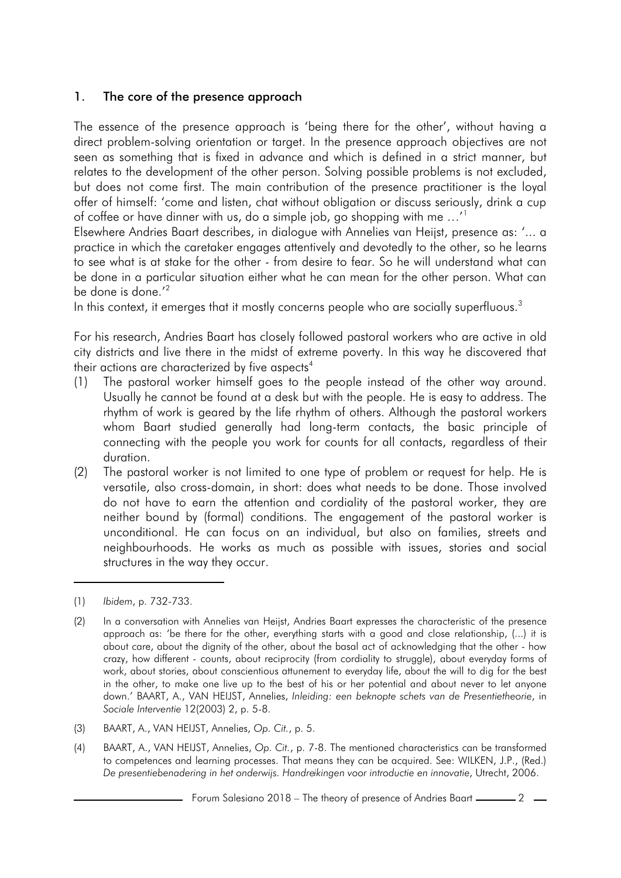#### 1. The core of the presence approach

The essence of the presence approach is 'being there for the other', without having a direct problem-solving orientation or target. In the presence approach objectives are not seen as something that is fixed in advance and which is defined in a strict manner, but relates to the development of the other person. Solving possible problems is not excluded, but does not come first. The main contribution of the presence practitioner is the loyal offer of himself: 'come and listen, chat without obligation or discuss seriously, drink a cup of coffee or have dinner with us, do a simple job, go shopping with me …'<sup>1</sup>

Elsewhere Andries Baart describes, in dialogue with Annelies van Heijst, presence as: '... a practice in which the caretaker engages attentively and devotedly to the other, so he learns to see what is at stake for the other - from desire to fear. So he will understand what can be done in a particular situation either what he can mean for the other person. What can be done is done.<sup>'2</sup>

In this context, it emerges that it mostly concerns people who are socially superfluous.<sup>3</sup>

For his research, Andries Baart has closely followed pastoral workers who are active in old city districts and live there in the midst of extreme poverty. In this way he discovered that their actions are characterized by five aspects<sup>4</sup>

- (1) The pastoral worker himself goes to the people instead of the other way around. Usually he cannot be found at a desk but with the people. He is easy to address. The rhythm of work is geared by the life rhythm of others. Although the pastoral workers whom Baart studied generally had long-term contacts, the basic principle of connecting with the people you work for counts for all contacts, regardless of their duration.
- (2) The pastoral worker is not limited to one type of problem or request for help. He is versatile, also cross-domain, in short: does what needs to be done. Those involved do not have to earn the attention and cordiality of the pastoral worker, they are neither bound by (formal) conditions. The engagement of the pastoral worker is unconditional. He can focus on an individual, but also on families, streets and neighbourhoods. He works as much as possible with issues, stories and social structures in the way they occur.

- (3) BAART, A., VAN HEIJST, Annelies, *Op. Cit.*, p. 5.
- (4) BAART, A., VAN HEIJST, Annelies, *Op. Cit.*, p. 7-8. The mentioned characteristics can be transformed to competences and learning processes. That means they can be acquired. See: WILKEN, J.P., (Red.) *De presentiebenadering in het onderwijs. Handreikingen voor introductie en innovatie*, Utrecht, 2006.

<sup>(1)</sup> *Ibidem*, p. 732-733.

<sup>(2)</sup> In a conversation with Annelies van Heijst, Andries Baart expresses the characteristic of the presence approach as: 'be there for the other, everything starts with a good and close relationship, (...) it is about care, about the dignity of the other, about the basal act of acknowledging that the other - how crazy, how different - counts, about reciprocity (from cordiality to struggle), about everyday forms of work, about stories, about conscientious attunement to everyday life, about the will to dig for the best in the other, to make one live up to the best of his or her potential and about never to let anyone down.' BAART, A., VAN HEIJST, Annelies, *Inleiding: een beknopte schets van de Presentietheorie*, in *Sociale Interventie* 12(2003) 2, p. 5-8.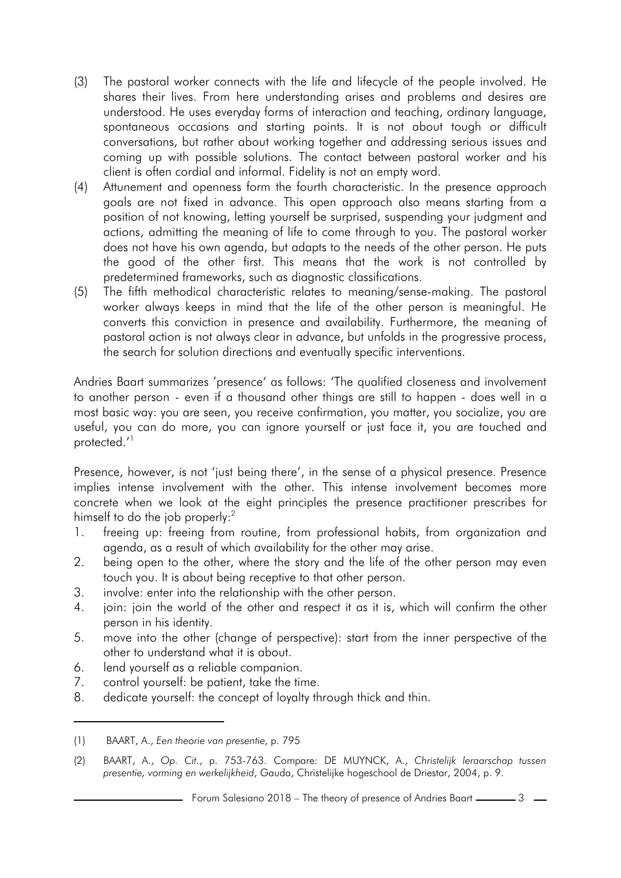- (3) The pastoral worker connects with the life and lifecycle of the people involved. He shares their lives. From here understanding arises and problems and desires are understood. He uses everyday forms of interaction and teaching, ordinary language, spontaneous occasions and starting points. It is not about tough or difficult conversations, but rather about working together and addressing serious issues and coming up with possible solutions. The contact between pastoral worker and his client is often cordial and informal. Fidelity is not an empty word.
- (4) Attunement and openness form the fourth characteristic. In the presence approach goals are not fixed in advance. This open approach also means starting from a position of not knowing, letting yourself be surprised, suspending your judgment and actions, admitting the meaning of life to come through to you. The pastoral worker does not have his own agenda, but adapts to the needs of the other person. He puts the good of the other first. This means that the work is not controlled by predetermined frameworks, such as diagnostic classifications.
- (5) The fifth methodical characteristic relates to meaning/sense-making. The pastoral worker always keeps in mind that the life of the other person is meaningful. He converts this conviction in presence and availability. Furthermore, the meaning of pastoral action is not always clear in advance, but unfolds in the progressive process, the search for solution directions and eventually specific interventions.

Andries Baart summarizes 'presence' as follows: 'The qualified closeness and involvement to another person - even if a thousand other things are still to happen - does well in a most basic way: you are seen, you receive confirmation, you matter, you socialize, you are useful, you can do more, you can ignore yourself or just face it, you are touched and protected.'<sup>1</sup>

Presence, however, is not 'just being there', in the sense of a physical presence. Presence implies intense involvement with the other. This intense involvement becomes more concrete when we look at the eight principles the presence practitioner prescribes for himself to do the job properly:<sup>2</sup>

- 1. freeing up: freeing from routine, from professional habits, from organization and agenda, as a result of which availability for the other may arise.
- 2. being open to the other, where the story and the life of the other person may even touch you. It is about being receptive to that other person.
- 3. involve: enter into the relationship with the other person.
- 4. join: join the world of the other and respect it as it is, which will confirm the other person in his identity.
- 5. move into the other (change of perspective): start from the inner perspective of the other to understand what it is about.
- 6. lend yourself as a reliable companion.
- 7. control yourself: be patient, take the time.
- 8. dedicate yourself: the concept of loyalty through thick and thin.

<sup>(1)</sup> BAART, A., *Een theorie van presentie*, p. 795

<sup>(2)</sup> BAART, A., *Op. Cit.*, p. 753-763. Compare: DE MUYNCK, A., *Christelijk leraarschap tussen presentie, vorming en werkelijkheid*, Gauda, Christelijke hogeschool de Driestar, 2004, p. 9.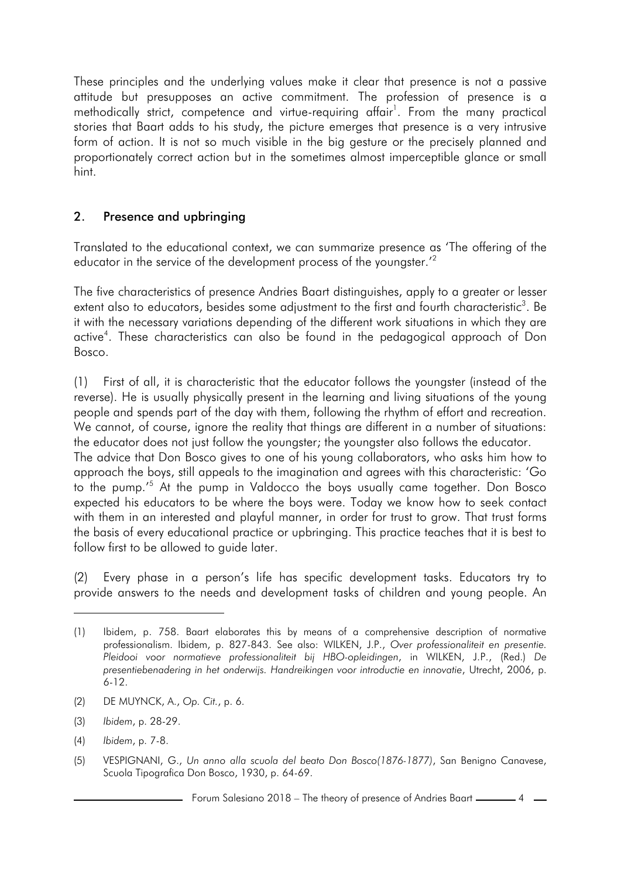These principles and the underlying values make it clear that presence is not a passive attitude but presupposes an active commitment. The profession of presence is a methodically strict, competence and virtue-requiring affair<sup>1</sup>. From the many practical stories that Baart adds to his study, the picture emerges that presence is a very intrusive form of action. It is not so much visible in the big gesture or the precisely planned and proportionately correct action but in the sometimes almost imperceptible glance or small hint.

# 2. Presence and upbringing

Translated to the educational context, we can summarize presence as 'The offering of the educator in the service of the development process of the youngster.'<sup>2</sup>

The five characteristics of presence Andries Baart distinguishes, apply to a greater or lesser extent also to educators, besides some adjustment to the first and fourth characteristic $^3$ . Be it with the necessary variations depending of the different work situations in which they are active<sup>4</sup>. These characteristics can also be found in the pedagogical approach of Don Bosco.

(1) First of all, it is characteristic that the educator follows the youngster (instead of the reverse). He is usually physically present in the learning and living situations of the young people and spends part of the day with them, following the rhythm of effort and recreation. We cannot, of course, ignore the reality that things are different in a number of situations: the educator does not just follow the youngster; the youngster also follows the educator. The advice that Don Bosco gives to one of his young collaborators, who asks him how to approach the boys, still appeals to the imagination and agrees with this characteristic: 'Go to the pump.'<sup>5</sup> At the pump in Valdocco the boys usually came together. Don Bosco expected his educators to be where the boys were. Today we know how to seek contact with them in an interested and playful manner, in order for trust to grow. That trust forms the basis of every educational practice or upbringing. This practice teaches that it is best to follow first to be allowed to guide later.

(2) Every phase in a person's life has specific development tasks. Educators try to provide answers to the needs and development tasks of children and young people. An

- (2) DE MUYNCK, A., *Op. Cit.*, p. 6.
- (3) *Ibidem*, p. 28-29.
- (4) *Ibidem*, p. 7-8.
- (5) VESPIGNANI, G., *Un anno alla scuola del beato Don Bosco(1876-1877)*, San Benigno Canavese, Scuola Tipografica Don Bosco, 1930, p. 64-69.

<sup>(1)</sup> Ibidem, p. 758. Baart elaborates this by means of a comprehensive description of normative professionalism. Ibidem, p. 827-843. See also: WILKEN, J.P., *Over professionaliteit en presentie. Pleidooi voor normatieve professionaliteit bij HBO-opleidingen*, in WILKEN, J.P., (Red.) *De presentiebenadering in het onderwijs. Handreikingen voor introductie en innovatie*, Utrecht, 2006, p. 6-12.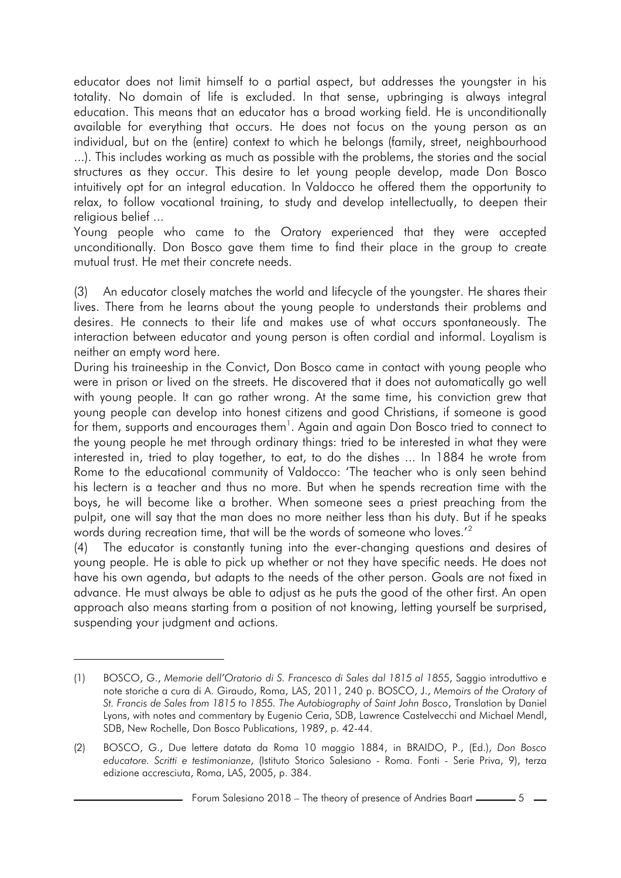educator does not limit himself to a partial aspect, but addresses the youngster in his totality. No domain of life is excluded. In that sense, upbringing is always integral education. This means that an educator has a broad working field. He is unconditionally available for everything that occurs. He does not focus on the young person as an individual, but on the (entire) context to which he belongs (family, street, neighbourhood ...). This includes working as much as possible with the problems, the stories and the social structures as they occur. This desire to let young people develop, made Don Bosco intuitively opt for an integral education. In Valdocco he offered them the opportunity to relax, to follow vocational training, to study and develop intellectually, to deepen their religious belief ...

Young people who came to the Oratory experienced that they were accepted unconditionally. Don Bosco gave them time to find their place in the group to create mutual trust. He met their concrete needs.

(3) An educator closely matches the world and lifecycle of the youngster. He shares their lives. There from he learns about the young people to understands their problems and desires. He connects to their life and makes use of what occurs spontaneously. The interaction between educator and young person is often cordial and informal. Loyalism is neither an empty word here.

During his traineeship in the Convict, Don Bosco came in contact with young people who were in prison or lived on the streets. He discovered that it does not automatically go well with young people. It can go rather wrong. At the same time, his conviction grew that young people can develop into honest citizens and good Christians, if someone is good for them, supports and encourages them $^{\rm l}$ . Again and again Don Bosco tried to connect to the young people he met through ordinary things: tried to be interested in what they were interested in, tried to play together, to eat, to do the dishes ... In 1884 he wrote from Rome to the educational community of Valdocco: 'The teacher who is only seen behind his lectern is a teacher and thus no more. But when he spends recreation time with the boys, he will become like a brother. When someone sees a priest preaching from the pulpit, one will say that the man does no more neither less than his duty. But if he speaks words during recreation time, that will be the words of someone who loves.'<sup>2</sup>

(4) The educator is constantly tuning into the ever-changing questions and desires of young people. He is able to pick up whether or not they have specific needs. He does not have his own agenda, but adapts to the needs of the other person. Goals are not fixed in advance. He must always be able to adjust as he puts the good of the other first. An open approach also means starting from a position of not knowing, letting yourself be surprised, suspending your judgment and actions.

<sup>(1)</sup> BOSCO, G., *Memorie dell'Oratorio di S. Francesco di Sales dal 1815 al 1855*, Saggio introduttivo e note storiche a cura di A. Giraudo, Roma, LAS, 2011, 240 p. BOSCO, J., *Memoirs of the Oratory of St. Francis de Sales from 1815 to 1855. The Autobiography of Saint John Bosco*, Translation by Daniel Lyons, with notes and commentary by Eugenio Ceria, SDB, Lawrence Castelvecchi and Michael Mendl, SDB, New Rochelle, Don Bosco Publications, 1989, p. 42-44.

<sup>(2)</sup> BOSCO, G., Due lettere datata da Roma 10 maggio 1884, in BRAIDO, P., (Ed.), *Don Bosco educatore. Scritti e testimonianze*, (Istituto Storico Salesiano - Roma. Fonti - Serie Priva, 9), terza edizione accresciuta, Roma, LAS, 2005, p. 384.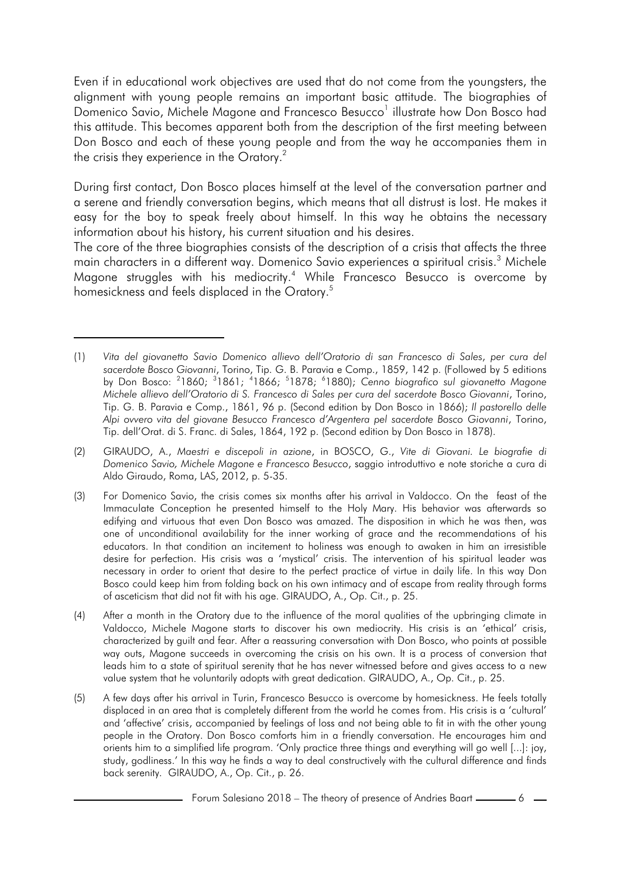Even if in educational work objectives are used that do not come from the youngsters, the alignment with young people remains an important basic attitude. The biographies of Domenico Savio, Michele Magone and Francesco Besucco<sup>1</sup> illustrate how Don Bosco had this attitude. This becomes apparent both from the description of the first meeting between Don Bosco and each of these young people and from the way he accompanies them in the crisis they experience in the Oratory.<sup>2</sup>

During first contact, Don Bosco places himself at the level of the conversation partner and a serene and friendly conversation begins, which means that all distrust is lost. He makes it easy for the boy to speak freely about himself. In this way he obtains the necessary information about his history, his current situation and his desires.

The core of the three biographies consists of the description of a crisis that affects the three main characters in a different way. Domenico Savio experiences a spiritual crisis. <sup>3</sup> Michele Magone struggles with his mediocrity.<sup>4</sup> While Francesco Besucco is overcome by homesickness and feels displaced in the Oratory.<sup>5</sup>

<sup>(1)</sup> *Vita del giovanetto Savio Domenico allievo dell'Oratorio di san Francesco di Sales*, *per cura del sacerdote Bosco Giovanni*, Torino, Tip. G. B. Paravia e Comp., 1859, 142 p. (Followed by 5 editions by Don Bosco: <sup>2</sup>1860; <sup>3</sup>1861; <sup>4</sup>1866; <sup>5</sup>1878; <sup>6</sup>1880); Cenno biografico sul giovanetto Magone *Michele allievo dell'Oratorio di S. Francesco di Sales per cura del sacerdote Bosco Giovanni*, Torino, Tip. G. B. Paravia e Comp., 1861, 96 p. (Second edition by Don Bosco in 1866); *Il pastorello delle Alpi ovvero vita del giovane Besucco Francesco d'Argentera pel sacerdote Bosco Giovanni*, Torino, Tip. dell'Orat. di S. Franc. di Sales, 1864, 192 p. (Second edition by Don Bosco in 1878).

<sup>(2)</sup> GIRAUDO, A., *Maestri e discepoli in azione*, in BOSCO, G., *Vite di Giovani. Le biografie di Domenico Savio, Michele Magone e Francesco Besucco*, saggio introduttivo e note storiche a cura di Aldo Giraudo, Roma, LAS, 2012, p. 5-35.

<sup>(3)</sup> For Domenico Savio, the crisis comes six months after his arrival in Valdocco. On the feast of the Immaculate Conception he presented himself to the Holy Mary. His behavior was afterwards so edifying and virtuous that even Don Bosco was amazed. The disposition in which he was then, was one of unconditional availability for the inner working of grace and the recommendations of his educators. In that condition an incitement to holiness was enough to awaken in him an irresistible desire for perfection. His crisis was a 'mystical' crisis. The intervention of his spiritual leader was necessary in order to orient that desire to the perfect practice of virtue in daily life. In this way Don Bosco could keep him from folding back on his own intimacy and of escape from reality through forms of asceticism that did not fit with his age. GIRAUDO, A., Op. Cit., p. 25.

<sup>(4)</sup> After a month in the Oratory due to the influence of the moral qualities of the upbringing climate in Valdocco, Michele Magone starts to discover his own mediocrity. His crisis is an 'ethical' crisis, characterized by guilt and fear. After a reassuring conversation with Don Bosco, who points at possible way outs, Magone succeeds in overcoming the crisis on his own. It is a process of conversion that leads him to a state of spiritual serenity that he has never witnessed before and gives access to a new value system that he voluntarily adopts with great dedication. GIRAUDO, A., Op. Cit., p. 25.

<sup>(5)</sup> A few days after his arrival in Turin, Francesco Besucco is overcome by homesickness. He feels totally displaced in an area that is completely different from the world he comes from. His crisis is a 'cultural' and 'affective' crisis, accompanied by feelings of loss and not being able to fit in with the other young people in the Oratory. Don Bosco comforts him in a friendly conversation. He encourages him and orients him to a simplified life program. 'Only practice three things and everything will go well [...]: joy, study, godliness.' In this way he finds a way to deal constructively with the cultural difference and finds back serenity. GIRAUDO, A., Op. Cit., p. 26.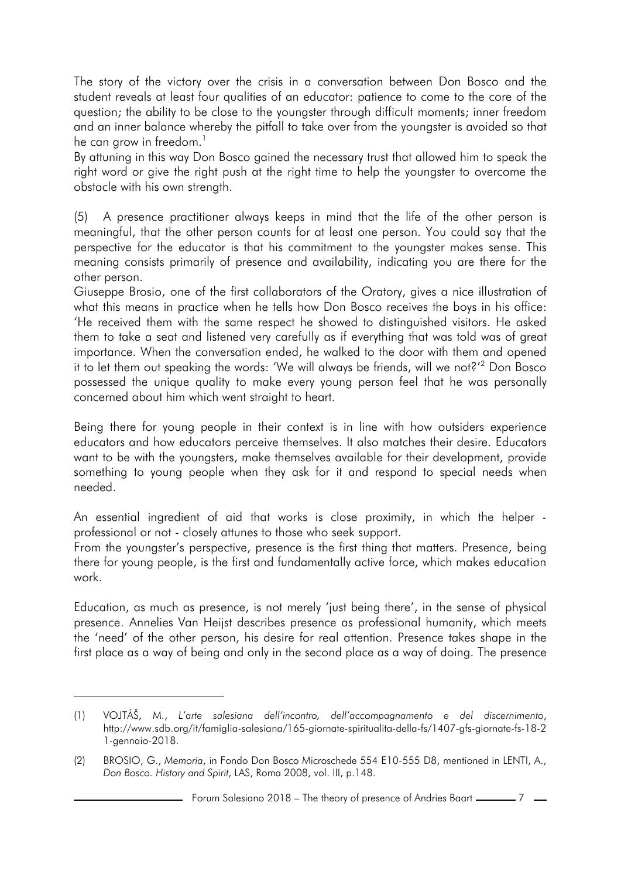The story of the victory over the crisis in a conversation between Don Bosco and the student reveals at least four qualities of an educator: patience to come to the core of the question; the ability to be close to the youngster through difficult moments; inner freedom and an inner balance whereby the pitfall to take over from the youngster is avoided so that he can grow in freedom.<sup>1</sup>

By attuning in this way Don Bosco gained the necessary trust that allowed him to speak the right word or give the right push at the right time to help the youngster to overcome the obstacle with his own strength.

(5) A presence practitioner always keeps in mind that the life of the other person is meaningful, that the other person counts for at least one person. You could say that the perspective for the educator is that his commitment to the youngster makes sense. This meaning consists primarily of presence and availability, indicating you are there for the other person.

Giuseppe Brosio, one of the first collaborators of the Oratory, gives a nice illustration of what this means in practice when he tells how Don Bosco receives the boys in his office: 'He received them with the same respect he showed to distinguished visitors. He asked them to take a seat and listened very carefully as if everything that was told was of great importance. When the conversation ended, he walked to the door with them and opened it to let them out speaking the words: 'We will always be friends, will we not?'<sup>2</sup> Don Bosco possessed the unique quality to make every young person feel that he was personally concerned about him which went straight to heart.

Being there for young people in their context is in line with how outsiders experience educators and how educators perceive themselves. It also matches their desire. Educators want to be with the youngsters, make themselves available for their development, provide something to young people when they ask for it and respond to special needs when needed.

An essential ingredient of aid that works is close proximity, in which the helper professional or not - closely attunes to those who seek support.

From the youngster's perspective, presence is the first thing that matters. Presence, being there for young people, is the first and fundamentally active force, which makes education work.

Education, as much as presence, is not merely 'just being there', in the sense of physical presence. Annelies Van Heijst describes presence as professional humanity, which meets the 'need' of the other person, his desire for real attention. Presence takes shape in the first place as a way of being and only in the second place as a way of doing. The presence

<sup>(1)</sup> VOJTÁŠ, M., *L'arte salesiana dell'incontro, dell'accompagnamento e del discernimento*, http://www.sdb.org/it/famiglia-salesiana/165-giornate-spiritualita-della-fs/1407-gfs-giornate-fs-18-2 1-gennaio-2018.

<sup>(2)</sup> BROSIO, G., *Memoria*, in Fondo Don Bosco Microschede 554 E10-555 D8, mentioned in LENTI, A., *Don Bosco. History and Spirit*, LAS, Roma 2008, vol. III, p.148.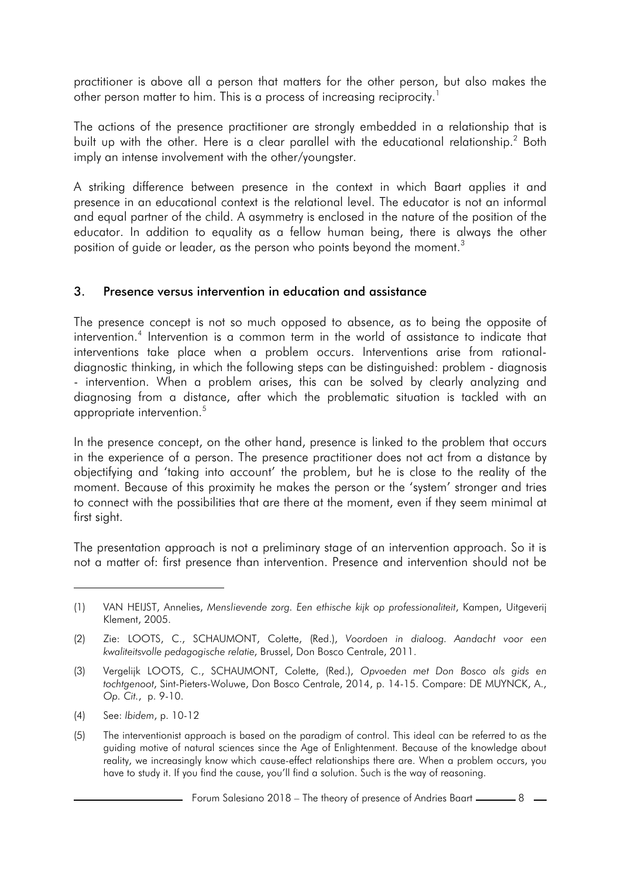practitioner is above all a person that matters for the other person, but also makes the other person matter to him. This is a process of increasing reciprocity.<sup>1</sup>

The actions of the presence practitioner are strongly embedded in a relationship that is built up with the other. Here is a clear parallel with the educational relationship.<sup>2</sup> Both imply an intense involvement with the other/youngster.

A striking difference between presence in the context in which Baart applies it and presence in an educational context is the relational level. The educator is not an informal and equal partner of the child. A asymmetry is enclosed in the nature of the position of the educator. In addition to equality as a fellow human being, there is always the other position of quide or leader, as the person who points beyond the moment.<sup>3</sup>

#### 3. Presence versus intervention in education and assistance

The presence concept is not so much opposed to absence, as to being the opposite of intervention.<sup>4</sup> Intervention is a common term in the world of assistance to indicate that interventions take place when a problem occurs. Interventions arise from rationaldiagnostic thinking, in which the following steps can be distinguished: problem - diagnosis - intervention. When a problem arises, this can be solved by clearly analyzing and diagnosing from a distance, after which the problematic situation is tackled with an appropriate intervention.<sup>5</sup>

In the presence concept, on the other hand, presence is linked to the problem that occurs in the experience of a person. The presence practitioner does not act from a distance by objectifying and 'taking into account' the problem, but he is close to the reality of the moment. Because of this proximity he makes the person or the 'system' stronger and tries to connect with the possibilities that are there at the moment, even if they seem minimal at first sight.

The presentation approach is not a preliminary stage of an intervention approach. So it is not a matter of: first presence than intervention. Presence and intervention should not be

<sup>(1)</sup> VAN HEIJST, Annelies, *Menslievende zorg. Een ethische kijk op professionaliteit*, Kampen, Uitgeverij Klement, 2005.

<sup>(2)</sup> Zie: LOOTS, C., SCHAUMONT, Colette, (Red.), *Voordoen in dialoog. Aandacht voor een kwaliteitsvolle pedagogische relatie*, Brussel, Don Bosco Centrale, 2011.

<sup>(3)</sup> Vergelijk LOOTS, C., SCHAUMONT, Colette, (Red.), *Opvoeden met Don Bosco als gids en tochtgenoot*, Sint-Pieters-Woluwe, Don Bosco Centrale, 2014, p. 14-15. Compare: DE MUYNCK, A., *Op. Cit.*, p. 9-10.

<sup>(4)</sup> See: *Ibidem*, p. 10-12

<sup>(5)</sup> The interventionist approach is based on the paradigm of control. This ideal can be referred to as the guiding motive of natural sciences since the Age of Enlightenment. Because of the knowledge about reality, we increasingly know which cause-effect relationships there are. When a problem occurs, you have to study it. If you find the cause, you'll find a solution. Such is the way of reasoning.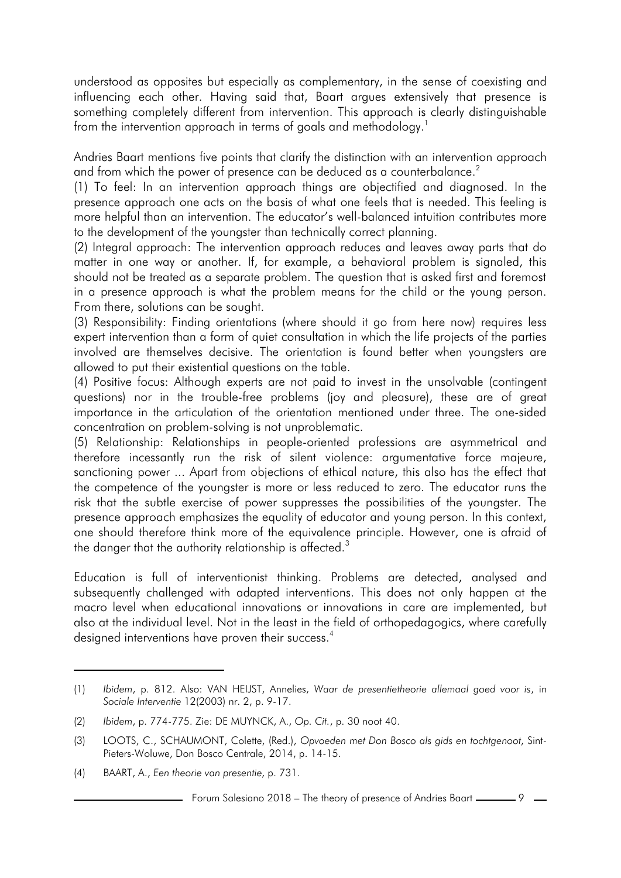understood as opposites but especially as complementary, in the sense of coexisting and influencing each other. Having said that, Baart argues extensively that presence is something completely different from intervention. This approach is clearly distinguishable from the intervention approach in terms of goals and methodology.<sup>1</sup>

Andries Baart mentions five points that clarify the distinction with an intervention approach and from which the power of presence can be deduced as a counterbalance.<sup>2</sup>

(1) To feel: In an intervention approach things are objectified and diagnosed. In the presence approach one acts on the basis of what one feels that is needed. This feeling is more helpful than an intervention. The educator's well-balanced intuition contributes more to the development of the youngster than technically correct planning.

(2) Integral approach: The intervention approach reduces and leaves away parts that do matter in one way or another. If, for example, a behavioral problem is signaled, this should not be treated as a separate problem. The question that is asked first and foremost in a presence approach is what the problem means for the child or the young person. From there, solutions can be sought.

(3) Responsibility: Finding orientations (where should it go from here now) requires less expert intervention than a form of quiet consultation in which the life projects of the parties involved are themselves decisive. The orientation is found better when youngsters are allowed to put their existential questions on the table.

(4) Positive focus: Although experts are not paid to invest in the unsolvable (contingent questions) nor in the trouble-free problems (joy and pleasure), these are of great importance in the articulation of the orientation mentioned under three. The one-sided concentration on problem-solving is not unproblematic.

(5) Relationship: Relationships in people-oriented professions are asymmetrical and therefore incessantly run the risk of silent violence: argumentative force majeure, sanctioning power ... Apart from objections of ethical nature, this also has the effect that the competence of the youngster is more or less reduced to zero. The educator runs the risk that the subtle exercise of power suppresses the possibilities of the youngster. The presence approach emphasizes the equality of educator and young person. In this context, one should therefore think more of the equivalence principle. However, one is afraid of the danger that the authority relationship is affected.<sup>3</sup>

Education is full of interventionist thinking. Problems are detected, analysed and subsequently challenged with adapted interventions. This does not only happen at the macro level when educational innovations or innovations in care are implemented, but also at the individual level. Not in the least in the field of orthopedagogics, where carefully designed interventions have proven their success.<sup>4</sup>

<sup>(1)</sup> *Ibidem*, p. 812. Also: VAN HEIJST, Annelies, *Waar de presentietheorie allemaal goed voor is*, in *Sociale Interventie* 12(2003) nr. 2, p. 9-17.

<sup>(2)</sup> *Ibidem*, p. 774-775. Zie: DE MUYNCK, A., *Op. Cit.*, p. 30 noot 40.

<sup>(3)</sup> LOOTS, C., SCHAUMONT, Colette, (Red.), *Opvoeden met Don Bosco als gids en tochtgenoot*, Sint-Pieters-Woluwe, Don Bosco Centrale, 2014, p. 14-15.

<sup>(4)</sup> BAART, A., *Een theorie van presentie*, p. 731.

<sup>-</sup> Forum Salesiano 2018 – The theory of presence of Andries Baart —————— 9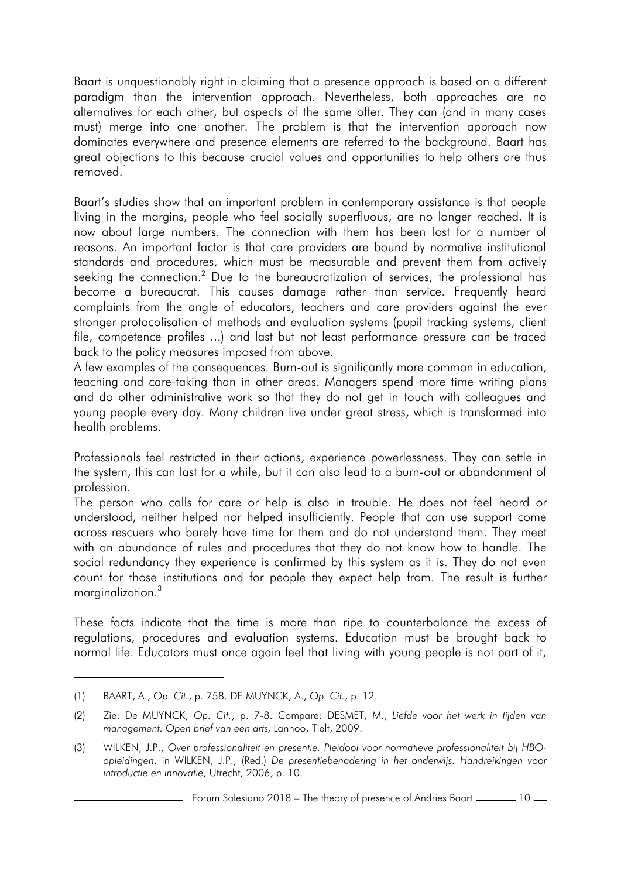Baart is unquestionably right in claiming that a presence approach is based on a different paradigm than the intervention approach. Nevertheless, both approaches are no alternatives for each other, but aspects of the same offer. They can (and in many cases must) merge into one another. The problem is that the intervention approach now dominates everywhere and presence elements are referred to the background. Baart has great objections to this because crucial values and opportunities to help others are thus removed $1$ 

Baart's studies show that an important problem in contemporary assistance is that people living in the margins, people who feel socially superfluous, are no longer reached. It is now about large numbers. The connection with them has been lost for a number of reasons. An important factor is that care providers are bound by normative institutional standards and procedures, which must be measurable and prevent them from actively seeking the connection.<sup>2</sup> Due to the bureaucratization of services, the professional has become a bureaucrat. This causes damage rather than service. Frequently heard complaints from the angle of educators, teachers and care providers against the ever stronger protocolisation of methods and evaluation systems (pupil tracking systems, client file, competence profiles ...) and last but not least performance pressure can be traced back to the policy measures imposed from above.

A few examples of the consequences. Burn-out is significantly more common in education, teaching and care-taking than in other areas. Managers spend more time writing plans and do other administrative work so that they do not get in touch with colleagues and young people every day. Many children live under great stress, which is transformed into health problems.

Professionals feel restricted in their actions, experience powerlessness. They can settle in the system, this can last for a while, but it can also lead to a burn-out or abandonment of profession.

The person who calls for care or help is also in trouble. He does not feel heard or understood, neither helped nor helped insufficiently. People that can use support come across rescuers who barely have time for them and do not understand them. They meet with an abundance of rules and procedures that they do not know how to handle. The social redundancy they experience is confirmed by this system as it is. They do not even count for those institutions and for people they expect help from. The result is further marginalization.<sup>3</sup>

These facts indicate that the time is more than ripe to counterbalance the excess of regulations, procedures and evaluation systems. Education must be brought back to normal life. Educators must once again feel that living with young people is not part of it,

<sup>(1)</sup> BAART, A., *Op. Cit.*, p. 758. DE MUYNCK, A., *Op. Cit.*, p. 12.

<sup>(2)</sup> Zie: De MUYNCK, *Op. Cit.*, p. 7-8. Compare: DESMET, M., *Liefde voor het werk in tijden van management. Open brief van een arts*, Lannoo, Tielt, 2009.

<sup>(3)</sup> WILKEN, J.P., *Over professionaliteit en presentie. Pleidooi voor normatieve professionaliteit bij HBOopleidingen*, in WILKEN, J.P., (Red.) *De presentiebenadering in het onderwijs. Handreikingen voor introductie en innovatie*, Utrecht, 2006, p. 10.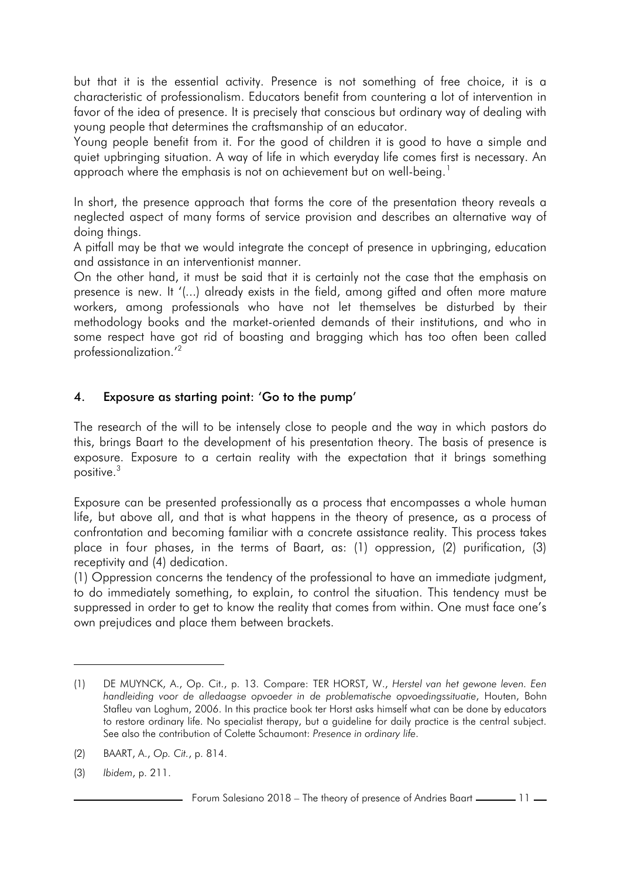but that it is the essential activity. Presence is not something of free choice, it is a characteristic of professionalism. Educators benefit from countering a lot of intervention in favor of the idea of presence. It is precisely that conscious but ordinary way of dealing with young people that determines the craftsmanship of an educator.

Young people benefit from it. For the good of children it is good to have a simple and quiet upbringing situation. A way of life in which everyday life comes first is necessary. An approach where the emphasis is not on achievement but on well-being.<sup>1</sup>

In short, the presence approach that forms the core of the presentation theory reveals a neglected aspect of many forms of service provision and describes an alternative way of doing things.

A pitfall may be that we would integrate the concept of presence in upbringing, education and assistance in an interventionist manner.

On the other hand, it must be said that it is certainly not the case that the emphasis on presence is new. It '(...) already exists in the field, among gifted and often more mature workers, among professionals who have not let themselves be disturbed by their methodology books and the market-oriented demands of their institutions, and who in some respect have got rid of boasting and bragging which has too often been called professionalization.'<sup>2</sup>

## 4. Exposure as starting point: 'Go to the pump'

The research of the will to be intensely close to people and the way in which pastors do this, brings Baart to the development of his presentation theory. The basis of presence is exposure. Exposure to a certain reality with the expectation that it brings something positive.<sup>3</sup>

Exposure can be presented professionally as a process that encompasses a whole human life, but above all, and that is what happens in the theory of presence, as a process of confrontation and becoming familiar with a concrete assistance reality. This process takes place in four phases, in the terms of Baart, as: (1) oppression, (2) purification, (3) receptivity and (4) dedication.

(1) Oppression concerns the tendency of the professional to have an immediate judgment, to do immediately something, to explain, to control the situation. This tendency must be suppressed in order to get to know the reality that comes from within. One must face one's own prejudices and place them between brackets.

<sup>(1)</sup> DE MUYNCK, A., Op. Cit., p. 13. Compare: TER HORST, W., *Herstel van het gewone leven. Een handleiding voor de alledaagse opvoeder in de problematische opvoedingssituatie*, Houten, Bohn Stafleu van Loghum, 2006. In this practice book ter Horst asks himself what can be done by educators to restore ordinary life. No specialist therapy, but a guideline for daily practice is the central subject. See also the contribution of Colette Schaumont: *Presence in ordinary life*.

<sup>(2)</sup> BAART, A., *Op. Cit.*, p. 814.

<sup>(3)</sup> *Ibidem*, p. 211.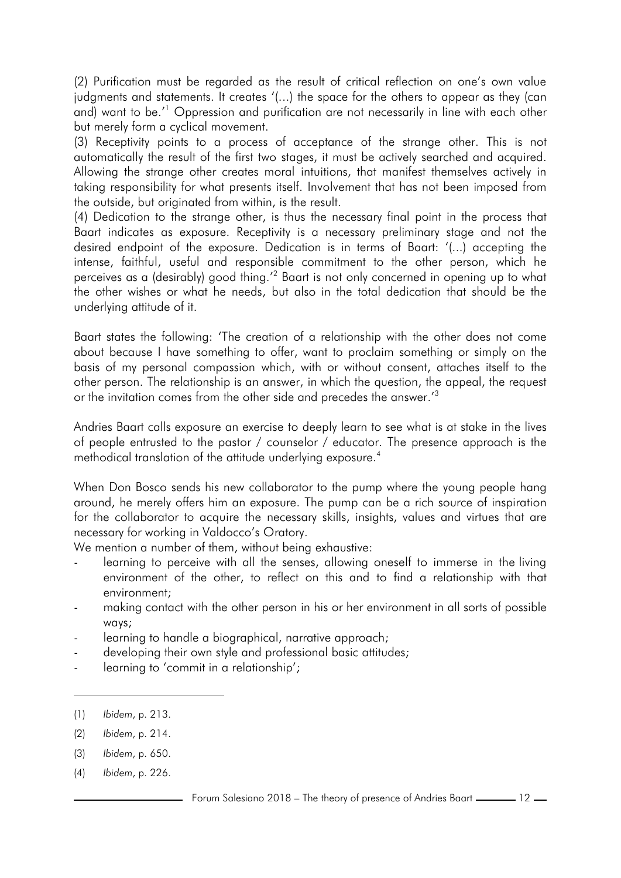(2) Purification must be regarded as the result of critical reflection on one's own value judgments and statements. It creates '(...) the space for the others to appear as they (can and) want to be.'<sup>1</sup> Oppression and purification are not necessarily in line with each other but merely form a cyclical movement.

(3) Receptivity points to a process of acceptance of the strange other. This is not automatically the result of the first two stages, it must be actively searched and acquired. Allowing the strange other creates moral intuitions, that manifest themselves actively in taking responsibility for what presents itself. Involvement that has not been imposed from the outside, but originated from within, is the result.

(4) Dedication to the strange other, is thus the necessary final point in the process that Baart indicates as exposure. Receptivity is a necessary preliminary stage and not the desired endpoint of the exposure. Dedication is in terms of Baart: '(...) accepting the intense, faithful, useful and responsible commitment to the other person, which he perceives as a (desirably) good thing.<sup>12</sup> Baart is not only concerned in opening up to what the other wishes or what he needs, but also in the total dedication that should be the underlying attitude of it.

Baart states the following: 'The creation of a relationship with the other does not come about because I have something to offer, want to proclaim something or simply on the basis of my personal compassion which, with or without consent, attaches itself to the other person. The relationship is an answer, in which the question, the appeal, the request or the invitation comes from the other side and precedes the answer.<sup>13</sup>

Andries Baart calls exposure an exercise to deeply learn to see what is at stake in the lives of people entrusted to the pastor / counselor / educator. The presence approach is the methodical translation of the attitude underlying exposure.<sup>4</sup>

When Don Bosco sends his new collaborator to the pump where the young people hang around, he merely offers him an exposure. The pump can be a rich source of inspiration for the collaborator to acquire the necessary skills, insights, values and virtues that are necessary for working in Valdocco's Oratory.

We mention a number of them, without being exhaustive:

- learning to perceive with all the senses, allowing oneself to immerse in the living environment of the other, to reflect on this and to find a relationship with that environment;
- making contact with the other person in his or her environment in all sorts of possible ways;
- learning to handle a biographical, narrative approach;
- developing their own style and professional basic attitudes;
- learning to 'commit in a relationship';

- (2) *Ibidem*, p. 214.
- (3) *Ibidem*, p. 650.
- (4) *Ibidem*, p. 226.

<sup>(1)</sup> *Ibidem*, p. 213.